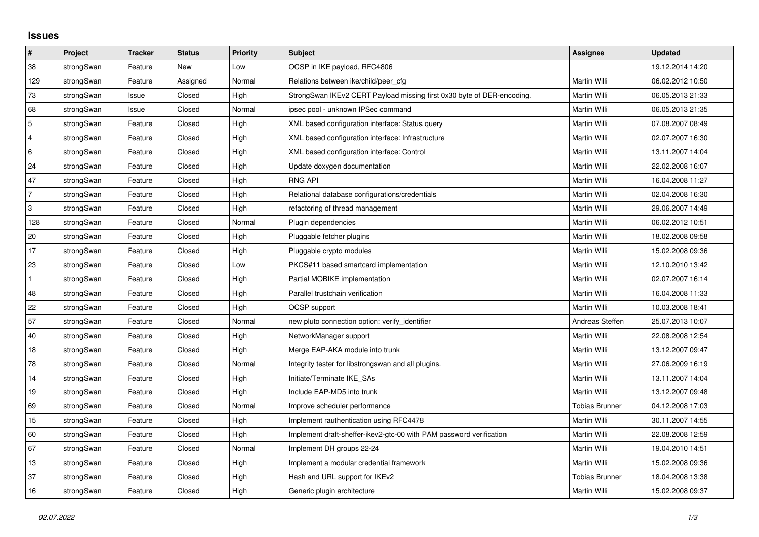## **Issues**

| #              | Project    | <b>Tracker</b> | <b>Status</b> | <b>Priority</b> | <b>Subject</b>                                                         | <b>Assignee</b>       | <b>Updated</b>   |
|----------------|------------|----------------|---------------|-----------------|------------------------------------------------------------------------|-----------------------|------------------|
| 38             | strongSwan | Feature        | <b>New</b>    | Low             | OCSP in IKE payload, RFC4806                                           |                       | 19.12.2014 14:20 |
| 129            | strongSwan | Feature        | Assigned      | Normal          | Relations between ike/child/peer cfg                                   | Martin Willi          | 06.02.2012 10:50 |
| 73             | strongSwan | Issue          | Closed        | High            | StrongSwan IKEv2 CERT Payload missing first 0x30 byte of DER-encoding. | Martin Willi          | 06.05.2013 21:33 |
| 68             | strongSwan | Issue          | Closed        | Normal          | ipsec pool - unknown IPSec command                                     | Martin Willi          | 06.05.2013 21:35 |
| $\overline{5}$ | strongSwan | Feature        | Closed        | High            | XML based configuration interface: Status query                        | Martin Willi          | 07.08.2007 08:49 |
| 4              | strongSwan | Feature        | Closed        | High            | XML based configuration interface: Infrastructure                      | Martin Willi          | 02.07.2007 16:30 |
| 6              | strongSwan | Feature        | Closed        | High            | XML based configuration interface: Control                             | Martin Willi          | 13.11.2007 14:04 |
| 24             | strongSwan | Feature        | Closed        | High            | Update doxygen documentation                                           | Martin Willi          | 22.02.2008 16:07 |
| 47             | strongSwan | Feature        | Closed        | High            | <b>RNG API</b>                                                         | Martin Willi          | 16.04.2008 11:27 |
| $\overline{7}$ | strongSwan | Feature        | Closed        | High            | Relational database configurations/credentials                         | Martin Willi          | 02.04.2008 16:30 |
| $\mathbf{3}$   | strongSwan | Feature        | Closed        | High            | refactoring of thread management                                       | Martin Willi          | 29.06.2007 14:49 |
| 128            | strongSwan | Feature        | Closed        | Normal          | Plugin dependencies                                                    | Martin Willi          | 06.02.2012 10:51 |
| 20             | strongSwan | Feature        | Closed        | High            | Pluggable fetcher plugins                                              | Martin Willi          | 18.02.2008 09:58 |
| 17             | strongSwan | Feature        | Closed        | High            | Pluggable crypto modules                                               | Martin Willi          | 15.02.2008 09:36 |
| 23             | strongSwan | Feature        | Closed        | Low             | PKCS#11 based smartcard implementation                                 | Martin Willi          | 12.10.2010 13:42 |
| $\mathbf{1}$   | strongSwan | Feature        | Closed        | High            | Partial MOBIKE implementation                                          | Martin Willi          | 02.07.2007 16:14 |
| 48             | strongSwan | Feature        | Closed        | High            | Parallel trustchain verification                                       | Martin Willi          | 16.04.2008 11:33 |
| 22             | strongSwan | Feature        | Closed        | High            | OCSP support                                                           | Martin Willi          | 10.03.2008 18:41 |
| 57             | strongSwan | Feature        | Closed        | Normal          | new pluto connection option: verify identifier                         | Andreas Steffen       | 25.07.2013 10:07 |
| $40\,$         | strongSwan | Feature        | Closed        | High            | NetworkManager support                                                 | Martin Willi          | 22.08.2008 12:54 |
| 18             | strongSwan | Feature        | Closed        | High            | Merge EAP-AKA module into trunk                                        | Martin Willi          | 13.12.2007 09:47 |
| 78             | strongSwan | Feature        | Closed        | Normal          | Integrity tester for libstrongswan and all plugins.                    | Martin Willi          | 27.06.2009 16:19 |
| 14             | strongSwan | Feature        | Closed        | High            | Initiate/Terminate IKE_SAs                                             | Martin Willi          | 13.11.2007 14:04 |
| 19             | strongSwan | Feature        | Closed        | High            | Include EAP-MD5 into trunk                                             | Martin Willi          | 13.12.2007 09:48 |
| 69             | strongSwan | Feature        | Closed        | Normal          | Improve scheduler performance                                          | <b>Tobias Brunner</b> | 04.12.2008 17:03 |
| 15             | strongSwan | Feature        | Closed        | High            | Implement rauthentication using RFC4478                                | Martin Willi          | 30.11.2007 14:55 |
| 60             | strongSwan | Feature        | Closed        | High            | Implement draft-sheffer-ikev2-gtc-00 with PAM password verification    | Martin Willi          | 22.08.2008 12:59 |
| 67             | strongSwan | Feature        | Closed        | Normal          | Implement DH groups 22-24                                              | Martin Willi          | 19.04.2010 14:51 |
| 13             | strongSwan | Feature        | Closed        | High            | Implement a modular credential framework                               | Martin Willi          | 15.02.2008 09:36 |
| 37             | strongSwan | Feature        | Closed        | High            | Hash and URL support for IKEv2                                         | <b>Tobias Brunner</b> | 18.04.2008 13:38 |
| 16             | strongSwan | Feature        | Closed        | High            | Generic plugin architecture                                            | Martin Willi          | 15.02.2008 09:37 |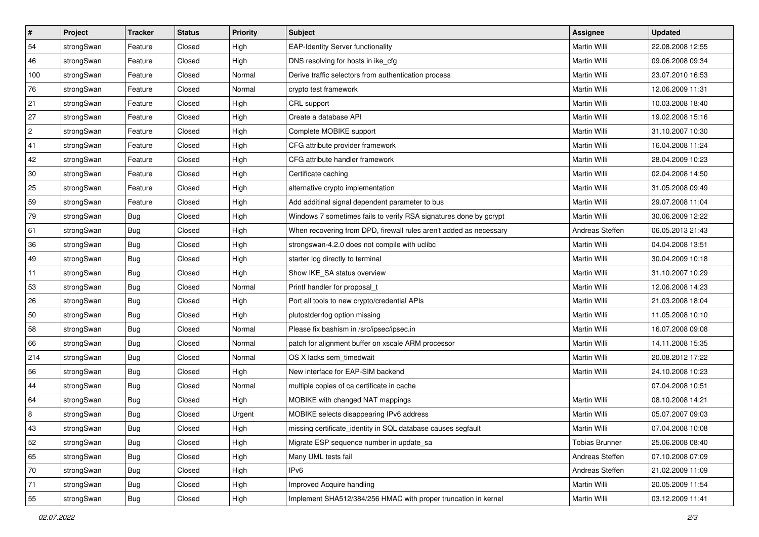| $\sharp$       | Project    | <b>Tracker</b> | <b>Status</b>              | Priority | <b>Subject</b>                                                     | <b>Assignee</b>       | <b>Updated</b>   |
|----------------|------------|----------------|----------------------------|----------|--------------------------------------------------------------------|-----------------------|------------------|
| 54             | strongSwan | Feature        | Closed                     | High     | <b>EAP-Identity Server functionality</b>                           | Martin Willi          | 22.08.2008 12:55 |
| 46             | strongSwan | Feature        | Closed                     | High     | DNS resolving for hosts in ike_cfg                                 | Martin Willi          | 09.06.2008 09:34 |
| 100            | strongSwan | Feature        | Closed                     | Normal   | Derive traffic selectors from authentication process               | Martin Willi          | 23.07.2010 16:53 |
| 76             | strongSwan | Feature        | Closed                     | Normal   | crypto test framework                                              | Martin Willi          | 12.06.2009 11:31 |
| 21             | strongSwan | Feature        | Closed                     | High     | CRL support                                                        | Martin Willi          | 10.03.2008 18:40 |
| 27             | strongSwan | Feature        | Closed                     | High     | Create a database API                                              | Martin Willi          | 19.02.2008 15:16 |
| $\overline{c}$ | strongSwan | Feature        | Closed                     | High     | Complete MOBIKE support                                            | Martin Willi          | 31.10.2007 10:30 |
| 41             | strongSwan | Feature        | Closed                     | High     | CFG attribute provider framework                                   | <b>Martin Willi</b>   | 16.04.2008 11:24 |
| 42             | strongSwan | Feature        | Closed                     | High     | CFG attribute handler framework                                    | Martin Willi          | 28.04.2009 10:23 |
| 30             | strongSwan | Feature        | Closed                     | High     | Certificate caching                                                | Martin Willi          | 02.04.2008 14:50 |
| 25             | strongSwan | Feature        | Closed                     | High     | alternative crypto implementation                                  | Martin Willi          | 31.05.2008 09:49 |
| 59             | strongSwan | Feature        | Closed                     | High     | Add additinal signal dependent parameter to bus                    | Martin Willi          | 29.07.2008 11:04 |
| 79             | strongSwan | Bug            | Closed                     | High     | Windows 7 sometimes fails to verify RSA signatures done by gcrypt  | Martin Willi          | 30.06.2009 12:22 |
| 61             | strongSwan | Bug            | Closed                     | High     | When recovering from DPD, firewall rules aren't added as necessary | Andreas Steffen       | 06.05.2013 21:43 |
| 36             | strongSwan | <b>Bug</b>     | Closed                     | High     | strongswan-4.2.0 does not compile with uclibe                      | Martin Willi          | 04.04.2008 13:51 |
| 49             | strongSwan | Bug            | Closed                     | High     | starter log directly to terminal                                   | Martin Willi          | 30.04.2009 10:18 |
| 11             | strongSwan | <b>Bug</b>     | Closed                     | High     | Show IKE SA status overview                                        | Martin Willi          | 31.10.2007 10:29 |
| 53             | strongSwan | <b>Bug</b>     | Closed                     | Normal   | Printf handler for proposal_t                                      | Martin Willi          | 12.06.2008 14:23 |
| 26             | strongSwan | Bug            | Closed                     | High     | Port all tools to new crypto/credential APIs                       | Martin Willi          | 21.03.2008 18:04 |
| 50             | strongSwan | Bug            | Closed                     | High     | plutostderrlog option missing                                      | Martin Willi          | 11.05.2008 10:10 |
| 58             | strongSwan | Bug            | Closed                     | Normal   | Please fix bashism in /src/ipsec/ipsec.in                          | Martin Willi          | 16.07.2008 09:08 |
| 66             | strongSwan | <b>Bug</b>     | Closed                     | Normal   | patch for alignment buffer on xscale ARM processor                 | Martin Willi          | 14.11.2008 15:35 |
| 214            | strongSwan | <b>Bug</b>     | Closed                     | Normal   | OS X lacks sem_timedwait                                           | Martin Willi          | 20.08.2012 17:22 |
| 56             | strongSwan | Bug            | Closed                     | High     | New interface for EAP-SIM backend                                  | Martin Willi          | 24.10.2008 10:23 |
| 44             | strongSwan | Bug            | Closed                     | Normal   | multiple copies of ca certificate in cache                         |                       | 07.04.2008 10:51 |
| 64             | strongSwan | <b>Bug</b>     | Closed                     | High     | MOBIKE with changed NAT mappings                                   | <b>Martin Willi</b>   | 08.10.2008 14:21 |
| 8              | strongSwan | Bug            | Closed                     | Urgent   | MOBIKE selects disappearing IPv6 address                           | Martin Willi          | 05.07.2007 09:03 |
| 43             | strongSwan | <b>Bug</b>     | $\mathop{\mathsf{Closed}}$ | High     | missing certificate_identity in SQL database causes segfault       | Martin Willi          | 07.04.2008 10:08 |
| 52             | strongSwan | Bug            | Closed                     | High     | Migrate ESP sequence number in update sa                           | <b>Tobias Brunner</b> | 25.06.2008 08:40 |
| 65             | strongSwan | Bug            | Closed                     | High     | Many UML tests fail                                                | Andreas Steffen       | 07.10.2008 07:09 |
| 70             | strongSwan | Bug            | Closed                     | High     | IP <sub>v6</sub>                                                   | Andreas Steffen       | 21.02.2009 11:09 |
| 71             | strongSwan | Bug            | Closed                     | High     | Improved Acquire handling                                          | Martin Willi          | 20.05.2009 11:54 |
| 55             | strongSwan | Bug            | Closed                     | High     | Implement SHA512/384/256 HMAC with proper truncation in kernel     | Martin Willi          | 03.12.2009 11:41 |